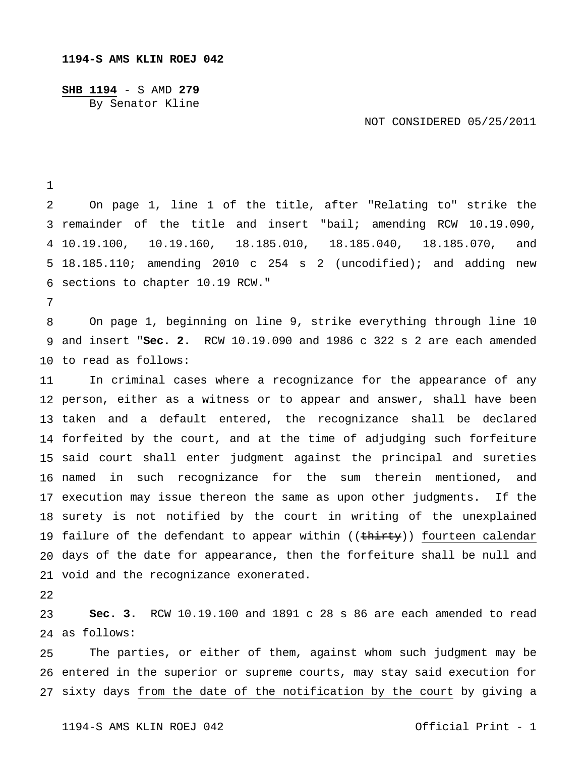**SHB 1194** - S AMD **279** By Senator Kline

NOT CONSIDERED 05/25/2011

 remainder of the title and insert "bail; amending RCW 10.19.090, 10.19.100, 10.19.160, 18.185.010, 18.185.040, 18.185.070, and 18.185.110; amending 2010 c 254 s 2 (uncodified); and adding new sections to chapter 10.19 RCW." On page 1, line 1 of the title, after "Relating to" strike the

 and insert "**Sec. 2.** RCW 10.19.090 and 1986 c 322 s 2 are each amended to read as follows: On page 1, beginning on line 9, strike everything through line 10

 person, either as a witness or to appear and answer, shall have been taken and a default entered, the recognizance shall be declared forfeited by the court, and at the time of adjudging such forfeiture said court shall enter judgment against the principal and sureties named in such recognizance for the sum therein mentioned, and execution may issue thereon the same as upon other judgments. If the surety is not notified by the court in writing of the unexplained 19 failure of the defendant to appear within ((<del>thirty</del>)) <u>fourteen calendar</u> days of the date for appearance, then the forfeiture shall be null and void and the recognizance exonerated. In criminal cases where a recognizance for the appearance of any

 as follows: **Sec. 3.** RCW 10.19.100 and 1891 c 28 s 86 are each amended to read

 entered in the superior or supreme courts, may stay said execution for sixty days from the date of the notification by the court by giving a The parties, or either of them, against whom such judgment may be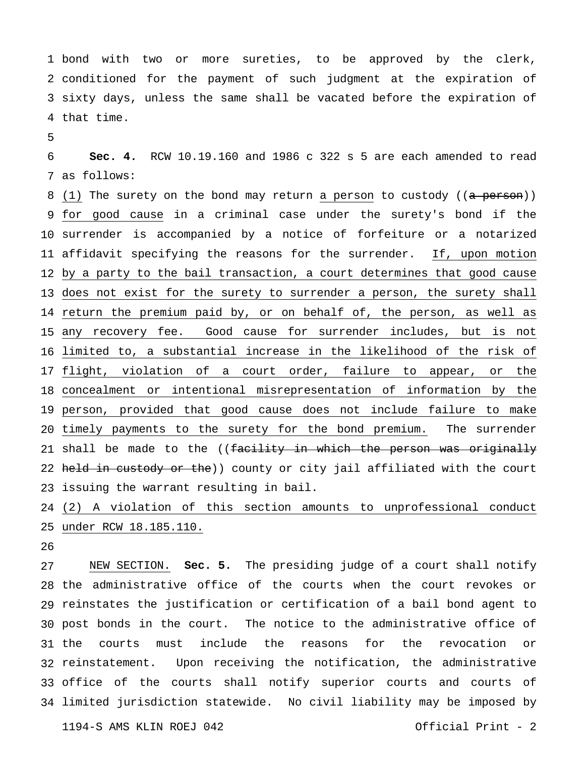bond with two or more sureties, to be approved by the clerk, conditioned for the payment of such judgment at the expiration of sixty days, unless the same shall be vacated before the expiration of that time.

 as follows: **Sec. 4.** RCW 10.19.160 and 1986 c 322 s 5 are each amended to read

8 (1) The surety on the bond may return a person to custody ((a person)) for good cause in a criminal case under the surety's bond if the surrender is accompanied by a notice of forfeiture or a notarized 11 affidavit specifying the reasons for the surrender. If, upon motion by a party to the bail transaction, a court determines that good cause 13 does not exist for the surety to surrender a person, the surety shall 14 return the premium paid by, or on behalf of, the person, as well as any recovery fee. Good cause for surrender includes, but is not limited to, a substantial increase in the likelihood of the risk of 17 flight, violation of a court order, failure to appear, or the concealment or intentional misrepresentation of information by the person, provided that good cause does not include failure to make timely payments to the surety for the bond premium. The surrender 21 shall be made to the ((<del>facility in which the person was originally</del> 22 held in custody or the)) county or city jail affiliated with the court issuing the warrant resulting in bail.

 (2) A violation of this section amounts to unprofessional conduct under RCW 18.185.110.

 the administrative office of the courts when the court revokes or reinstates the justification or certification of a bail bond agent to post bonds in the court. The notice to the administrative office of 31 the reinstatement. Upon receiving the notification, the administrative office of the courts shall notify superior courts and courts of limited jurisdiction statewide. No civil liability may be imposed by NEW SECTION. **Sec. 5.** The presiding judge of a court shall notify courts must include the reasons for the revocation or

1194-S AMS KLIN ROEJ 042 Official Print - 2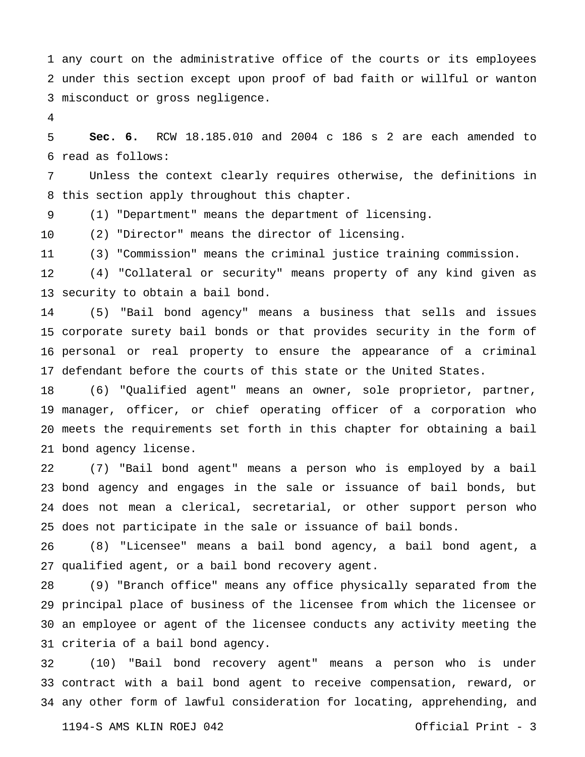any court on the administrative office of the courts or its employees under this section except upon proof of bad faith or willful or wanton misconduct or gross negligence.

 read as follows: **Sec. 6.** RCW 18.185.010 and 2004 c 186 s 2 are each amended to

 Unless the context clearly requires otherwise, the definitions in this section apply throughout this chapter.

 (1) "Department" means the department of licensing.

 (2) "Director" means the director of licensing.

 (3) "Commission" means the criminal justice training commission.

 security to obtain a bail bond. (4) "Collateral or security" means property of any kind given as

 corporate surety bail bonds or that provides security in the form of personal or real property to ensure the appearance of a criminal defendant before the courts of this state or the United States. (5) "Bail bond agency" means a business that sells and issues

 manager, officer, or chief operating officer of a corporation who meets the requirements set forth in this chapter for obtaining a bail bond agency license. (6) "Qualified agent" means an owner, sole proprietor, partner,

 bond agency and engages in the sale or issuance of bail bonds, but does not mean a clerical, secretarial, or other support person who does not participate in the sale or issuance of bail bonds. (7) "Bail bond agent" means a person who is employed by a bail

 qualified agent, or a bail bond recovery agent. (8) "Licensee" means a bail bond agency, a bail bond agent, a

 principal place of business of the licensee from which the licensee or an employee or agent of the licensee conducts any activity meeting the criteria of a bail bond agency. (9) "Branch office" means any office physically separated from the

 contract with a bail bond agent to receive compensation, reward, or any other form of lawful consideration for locating, apprehending, and (10) "Bail bond recovery agent" means a person who is under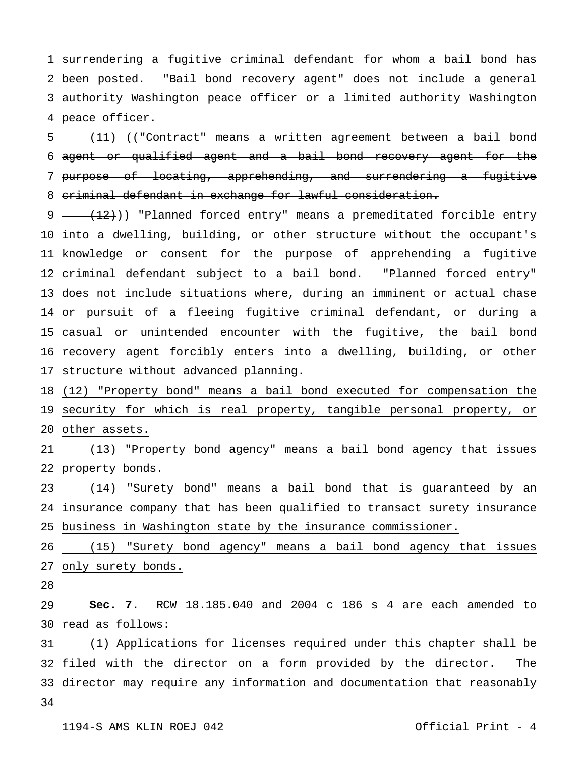surrendering a fugitive criminal defendant for whom a bail bond has been posted. "Bail bond recovery agent" does not include a general authority Washington peace officer or a limited authority Washington peace officer.

 agent or qualified agent and a bail bond recovery agent for the purpose of locating, apprehending, and surrendering a fugitive criminal defendant in exchange for lawful consideration. (11) (("Contract" means a written agreement between a bail bond

9 -  $(12)$ )) "Planned forced entry" means a premeditated forcible entry into a dwelling, building, or other structure without the occupant's knowledge or consent for the purpose of apprehending a fugitive criminal defendant subject to a bail bond. "Planned forced entry" does not include situations where, during an imminent or actual chase or pursuit of a fleeing fugitive criminal defendant, or during a casual or unintended encounter with the fugitive, the bail bond recovery agent forcibly enters into a dwelling, building, or other structure without advanced planning.

 (12) "Property bond" means a bail bond executed for compensation the security for which is real property, tangible personal property, or other assets.

 (13) "Property bond agency" means a bail bond agency that issues property bonds.

 insurance company that has been qualified to transact surety insurance business in Washington state by the insurance commissioner. (14) "Surety bond" means a bail bond that is guaranteed by an

 (15) "Surety bond agency" means a bail bond agency that issues only surety bonds.

 read as follows: **Sec. 7.** RCW 18.185.040 and 2004 c 186 s 4 are each amended to

 filed with the director on a form provided by the director. The director may require any information and documentation that reasonably (1) Applications for licenses required under this chapter shall be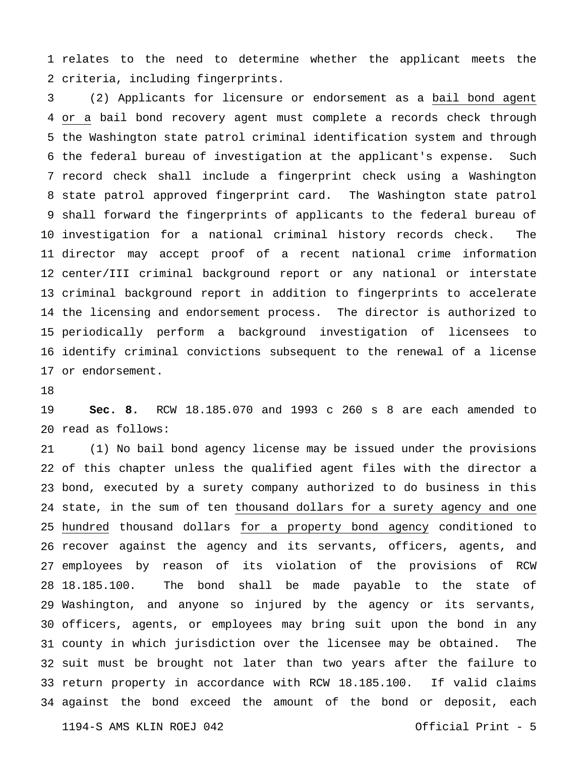relates to the need to determine whether the applicant meets the criteria, including fingerprints.

 or a bail bond recovery agent must complete a records check through the Washington state patrol criminal identification system and through the federal bureau of investigation at the applicant's expense. Such record check shall include a fingerprint check using a Washington state patrol approved fingerprint card. The Washington state patrol shall forward the fingerprints of applicants to the federal bureau of investigation for a national criminal history records check. The director may accept proof of a recent national crime information center/III criminal background report or any national or interstate criminal background report in addition to fingerprints to accelerate the licensing and endorsement process. The director is authorized to periodically perform a background investigation of licensees to identify criminal convictions subsequent to the renewal of a license or endorsement. (2) Applicants for licensure or endorsement as a bail bond agent

 read as follows: **Sec. 8.** RCW 18.185.070 and 1993 c 260 s 8 are each amended to

 of this chapter unless the qualified agent files with the director a bond, executed by a surety company authorized to do business in this state, in the sum of ten thousand dollars for a surety agency and one hundred thousand dollars for a property bond agency conditioned to recover against the agency and its servants, officers, agents, and employees by reason of its violation of the provisions of RCW 28 18.185.100. Washington, and anyone so injured by the agency or its servants, officers, agents, or employees may bring suit upon the bond in any county in which jurisdiction over the licensee may be obtained. The suit must be brought not later than two years after the failure to return property in accordance with RCW 18.185.100. If valid claims against the bond exceed the amount of the bond or deposit, each (1) No bail bond agency license may be issued under the provisions The bond shall be made payable to the state of

1194-S AMS KLIN ROEJ 042 Official Print - 5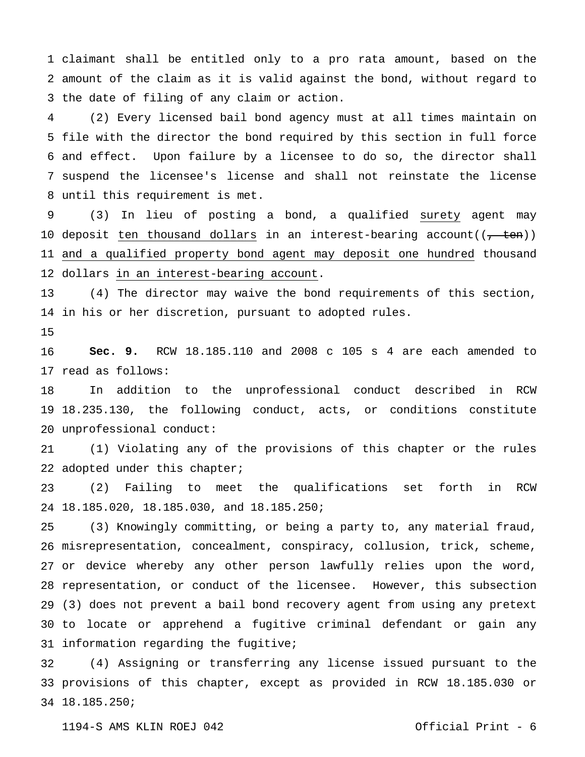claimant shall be entitled only to a pro rata amount, based on the amount of the claim as it is valid against the bond, without regard to the date of filing of any claim or action.

 file with the director the bond required by this section in full force and effect. Upon failure by a licensee to do so, the director shall suspend the licensee's license and shall not reinstate the license until this requirement is met. (2) Every licensed bail bond agency must at all times maintain on

 10 deposit ten thousand dollars in an interest-bearing account((<del>, ten</del>)) and a qualified property bond agent may deposit one hundred thousand dollars in an interest-bearing account. (3) In lieu of posting a bond, a qualified surety agent may

 in his or her discretion, pursuant to adopted rules. (4) The director may waive the bond requirements of this section,

 read as follows: **Sec. 9.** RCW 18.185.110 and 2008 c 105 s 4 are each amended to

 18.235.130, the following conduct, acts, or conditions constitute unprofessional conduct: In addition to the unprofessional conduct described in RCW

 adopted under this chapter; (1) Violating any of the provisions of this chapter or the rules

 18.185.020, 18.185.030, and 18.185.250; (2) Failing to meet the qualifications set forth in RCW

 misrepresentation, concealment, conspiracy, collusion, trick, scheme, or device whereby any other person lawfully relies upon the word, representation, or conduct of the licensee. However, this subsection (3) does not prevent a bail bond recovery agent from using any pretext to locate or apprehend a fugitive criminal defendant or gain any information regarding the fugitive; (3) Knowingly committing, or being a party to, any material fraud,

 provisions of this chapter, except as provided in RCW 18.185.030 or 18.185.250; (4) Assigning or transferring any license issued pursuant to the

1194-S AMS KLIN ROEJ 042 Official Print - 6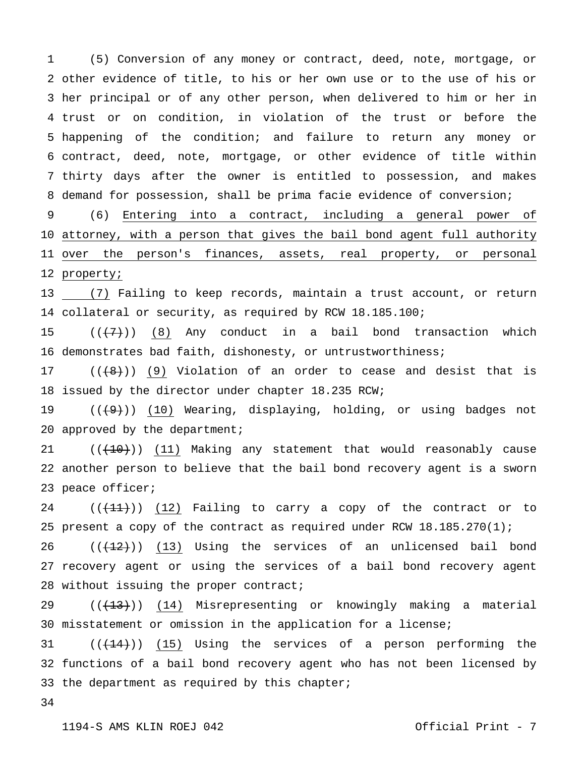other evidence of title, to his or her own use or to the use of his or her principal or of any other person, when delivered to him or her in trust or on condition, in violation of the trust or before the happening of the condition; and failure to return any money or contract, deed, note, mortgage, or other evidence of title within thirty days after the owner is entitled to possession, and makes demand for possession, shall be prima facie evidence of conversion; (5) Conversion of any money or contract, deed, note, mortgage, or

 attorney, with a person that gives the bail bond agent full authority over the person's finances, assets, real property, or personal property; (6) Entering into a contract, including a general power of

 (7) Failing to keep records, maintain a trust account, or return collateral or security, as required by RCW 18.185.100;

 demonstrates bad faith, dishonesty, or untrustworthiness;  $((+7))$  (8) Any conduct in a bail bond transaction which

 issued by the director under chapter 18.235 RCW;  $((+8))$  (9) Violation of an order to cease and desist that is

 20 approved by the department;  $((+9))$  (10) Wearing, displaying, holding, or using badges not

 another person to believe that the bail bond recovery agent is a sworn peace officer;  $((+10))$  (11) Making any statement that would reasonably cause

 present a copy of the contract as required under RCW 18.185.270(1);  $((+11))$  (12) Failing to carry a copy of the contract or to

 recovery agent or using the services of a bail bond recovery agent without issuing the proper contract;  $((+12))$  (13) Using the services of an unlicensed bail bond

 misstatement or omission in the application for a license;  $((+13))$  (14) Misrepresenting or knowingly making a material

 functions of a bail bond recovery agent who has not been licensed by the department as required by this chapter;  $((+14))$  (15) Using the services of a person performing the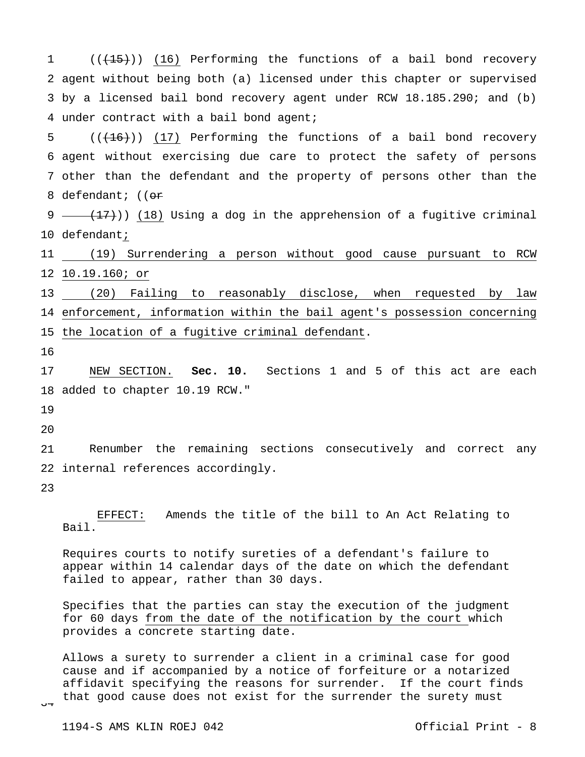1 2 agent without being both (a) licensed under this chapter or supervised 3 by a licensed bail bond recovery agent under RCW 18.185.290; and (b) 4 under contract with a bail bond agent; 5 6 agent without exercising due care to protect the safety of persons 7 other than the defendant and the property of persons other than the 8 defendant; ((<del>or</del>  $((+15))$  (16) Performing the functions of a bail bond recovery  $((+16))$  (17) Performing the functions of a bail bond recovery

9 —  $(17)$ ) (18) Using a dog in the apprehension of a fugitive criminal 10 defendant;

11 (19) Surrendering a person without good cause pursuant to RCW 12 10.19.160; or

13 (20) Failing to reasonably disclose, when requested by law 14 enforcement, information within the bail agent's possession concerning 15 the location of a fugitive criminal defendant.

16

17 18 added to chapter 10.19 RCW." NEW SECTION. **Sec. 10.** Sections 1 and 5 of this act are each

19

 $20$ 

21 22 internal references accordingly. Renumber the remaining sections consecutively and correct any

23

 EFFECT: Amends the title of the bill to An Act Relating to Bail.

Requires courts to notify sureties of a defendant's failure to appear within 14 calendar days of the date on which the defendant failed to appear, rather than 30 days.

Specifies that the parties can stay the execution of the judgment for 60 days from the date of the notification by the court which provides a concrete starting date.

Allows a surety to surrender a client in a criminal case for good cause and if accompanied by a notice of forfeiture or a notarized affidavit specifying the reasons for surrender. If the court finds that good cause does not exist for the surrender the surety must